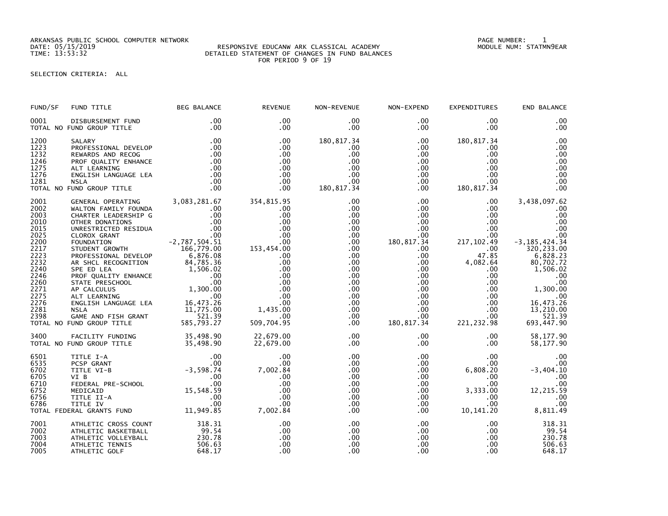ARKANSAS PUBLIC SCHOOL COMPUTER NETWORK PAGE NUMBER: 1

## DATE: 05/15/2019 RESPONSIVE EDUCANW ARK CLASSICAL ACADEMY MODULE NUM: STATMN9EAR TIME: 13:53:32 DETAILED STATEMENT OF CHANGES IN FUND BALANCES FOR PERIOD 9 OF 19

SELECTION CRITERIA: ALL

| FUND/SF                                                                                                                                      | FUND TITLE                                                                                                                                                                                                                                                                                                                                                                                                                                                                      | <b>BEG BALANCE</b>                                                                                                                                 | <b>REVENUE</b>                                                                                                                                                                                    | NON-REVENUE                                                                                                                                                                         | NON-EXPEND                                                                                                                                                                                                                           | <b>EXPENDITURES</b>                                                                                                                                                                                                                | END BALANCE                                                                                                                                                                                                 |
|----------------------------------------------------------------------------------------------------------------------------------------------|---------------------------------------------------------------------------------------------------------------------------------------------------------------------------------------------------------------------------------------------------------------------------------------------------------------------------------------------------------------------------------------------------------------------------------------------------------------------------------|----------------------------------------------------------------------------------------------------------------------------------------------------|---------------------------------------------------------------------------------------------------------------------------------------------------------------------------------------------------|-------------------------------------------------------------------------------------------------------------------------------------------------------------------------------------|--------------------------------------------------------------------------------------------------------------------------------------------------------------------------------------------------------------------------------------|------------------------------------------------------------------------------------------------------------------------------------------------------------------------------------------------------------------------------------|-------------------------------------------------------------------------------------------------------------------------------------------------------------------------------------------------------------|
| 0001                                                                                                                                         | DISBURSEMENT FUND<br>TOTAL NO FUND GROUP TITLE                                                                                                                                                                                                                                                                                                                                                                                                                                  | .00<br>.00                                                                                                                                         | .00<br>.00                                                                                                                                                                                        | $.00 \,$<br>$.00 \,$                                                                                                                                                                | $.00 \,$<br>$.00 \,$                                                                                                                                                                                                                 | .00<br>$.00 \,$                                                                                                                                                                                                                    | .00<br>.00                                                                                                                                                                                                  |
| 1200<br>1223<br>1232<br>1246<br>1275<br>1276<br>1281                                                                                         | SALARY<br>PROFESSIONAL DEVELOP<br>REWARDS AND RECOG<br>PROF QUALITY ENHANCE<br>ALT LEARNING<br>ENGLISH LANGUAGE LEA<br><b>NSLA</b><br>TOTAL NO FUND GROUP TITLE                                                                                                                                                                                                                                                                                                                 | .00<br>.00<br>$\begin{array}{c} .00\ 0.00\ 0.00\ 0.00\ 0.00\ 0.00\ \end{array}$<br>.00<br>.00                                                      | .00<br>.00<br>.00<br>.00<br>.00<br>.00<br>.00<br>.00                                                                                                                                              | 180,817.34<br>.00<br>.00<br>.00<br>.00<br>.00<br>$.00 \,$<br>180, 817.34                                                                                                            | $.00 \,$<br>.00<br>$.00 \,$<br>$.00 \,$<br>$.00 \,$<br>$.00 \,$<br>$.00 \,$<br>$.00 \,$                                                                                                                                              | 180, 817.34<br>.00<br>$.00 \,$<br>.00<br>$.00 \,$<br>$.00 \,$<br>$.00 \cdot$<br>180, 817.34                                                                                                                                        | .00<br>.00<br>.00<br>.00<br>.00<br>.00<br>.00<br>.00                                                                                                                                                        |
| 2001<br>2002<br>2003<br>2010<br>2015<br>2025<br>2200<br>2217<br>2223<br>2232<br>2240<br>2246<br>2260<br>2271<br>2275<br>2276<br>2281<br>2398 | GENERAL OPERATING<br>WALTON FAMILY FOUNDA<br>CHARTER LEADERSHIP G<br>OTHER DONATIONS<br>UNRESTRICTED RESIDUA<br>CLOROX GRANT<br>FOUNDATION<br>STUDENT GROWTH<br>PROFESSIONAL DEVELOP<br>AR SHCL RECOGNITION<br>AR SHELL RECONNITION<br>PROF QUALITY ENHANCE<br>STATE PRESCHOOL 00<br>STATE PRESCHOOL 00<br>AP CALCULUS 1,300.00<br>ALT LEARNING 00<br>ALT LEARNING 00<br>NSLA 16,473.26<br>NSLA 11,775.00<br>NSLA 11,775.00<br>GAME AND FISH GRANT<br>TOTAL NO FUND GROUP TITLE | 3,083,281.67<br>.00<br>.00<br>$\frac{0}{00}$<br>$-2,787,504.51$<br>166,779.00<br>276.08<br>6,876.08<br>84,785.36<br>521.39<br>521.39<br>585,793.27 | 354,815.95<br>.00<br>.00<br>.00<br>.00<br>$\begin{array}{c} .00\ .00\ .00\ .00\ .00\ .00\ \end{array}$<br>.00.<br>.00<br>.00<br>.00<br>.00<br>.00<br>.00<br>.00.<br>1,435.00<br>.00<br>509,704.95 | $.00 \,$<br>$.00 \,$<br>.00<br>$.00 \,$<br>$.00 \,$<br>.00<br>$.00 \,$<br>.00<br>.00<br>.00<br>.00<br>$.00 \,$<br>$.00 \,$<br>.00<br>$.00 \,$<br>.00<br>.00<br>$.00 \,$<br>$.00 \,$ | $.00 \,$<br>$.00 \,$<br>$.00 \,$<br>$.00 \,$<br>$.00 \,$<br>$.00 \,$<br>180,817.34<br>$.00 \,$<br>$.00 \,$<br>$.00 \,$<br>$.00 \,$<br>$.00\,$<br>$.00\,$<br>$.00 \ \,$<br>$.00 \,$<br>$.00 \,$<br>$.00 \,$<br>$.00 \,$<br>180,817.34 | $.00 \,$<br>$.00 \,$<br>$.00 \,$<br>$.00 \,$<br>.00<br>$.00 \,$<br>217, 102.49<br>$.00 \,$<br>47.85<br>4,082.64<br>$.00 \,$<br>$.00 \,$<br>$.00 \,$<br>$.00 \,$<br>$.00 \,$<br>$.00 \,$<br>$.00 \times$<br>$.00 \,$<br>221, 232.98 | 3,438,097.62<br>.00<br>.00<br>.00<br>.00<br>.00<br>$-3, 185, 424.34$<br>320, 233.00<br>6,828.23<br>80,702.72<br>1,506.02<br>.00<br>.00<br>1,300.00<br>.00<br>16,473.26<br>13,210.00<br>521.39<br>693,447.90 |
| 3400                                                                                                                                         | FACILITY FUNDING 35,498.90<br>FUND GROUP TITLE 35,498.90<br>TOTAL NO FUND GROUP TITLE                                                                                                                                                                                                                                                                                                                                                                                           |                                                                                                                                                    | 22,679.00<br>22,679.00                                                                                                                                                                            | $.00 \,$<br>$.00 \,$                                                                                                                                                                | $.00 \,$<br>$.00 \,$                                                                                                                                                                                                                 | .00<br>$.00 \,$                                                                                                                                                                                                                    | 58,177.90<br>58,177.90                                                                                                                                                                                      |
| 6501<br>6535<br>6702<br>6705<br>6710<br>6752<br>6756<br>6786                                                                                 | 11TLE I-A 00<br>PCSP GRANT 00<br>TITLE VI-B -3,598.74<br>VI B 00<br>FEDERAL PRE-SCHOOL 00<br>MEDICAID 15,548.59<br>TITLE II-A 00<br>TITLE IV 00<br>FRAL GRANTS FUND 11,949.85<br>TOTAL FEDERAL GRANTS FUND                                                                                                                                                                                                                                                                      |                                                                                                                                                    | .00<br>.00<br>7,002.84<br>.00<br>.00<br>.00<br>.00<br>.00<br>7,002.84                                                                                                                             | $.00 \,$<br>$.00 \,$<br>.00<br>.00<br>$.00 \,$<br>$.00 \,$<br>$.00 \,$<br>.00<br>.00                                                                                                | $.00 \,$<br>.00<br>$.00 \,$<br>$.00 \,$<br>$.00 \,$<br>$.00 \,$<br>$.00 \,$<br>$.00 \,$<br>.00                                                                                                                                       | $.00 \,$<br>$.00 \,$<br>6,808.20<br>.00<br>$.00 \,$<br>3,333.00<br>.00<br>.00 <sub>1</sub><br>10, 141. 20                                                                                                                          | .00<br>.00<br>$-3,404.10$<br>.00<br>.00<br>12,215.59<br>.00<br>.00<br>8,811.49                                                                                                                              |
| 7001<br>7002<br>7003<br>7004<br>7005                                                                                                         | ATHLETIC CROSS COUNT<br>ATHLETIC BASKETBALL<br>ATHLETIC VOLLEYBALL<br>ATHLETIC TENNIS<br>ATHLETIC GOLF                                                                                                                                                                                                                                                                                                                                                                          | 318.31<br>99.54<br>230.78<br>506.63<br>506.63<br>648.17                                                                                            | .00<br>.00<br>.00<br>.00<br>.00                                                                                                                                                                   | .00<br>.00<br>.00<br>.00<br>.00                                                                                                                                                     | $.00 \,$<br>$.00 \,$<br>$.00 \,$<br>$.00 \,$<br>.00                                                                                                                                                                                  | $.00 \,$<br>$.00 \,$<br>$.00 \,$<br>$.00 \,$<br>.00                                                                                                                                                                                | 318.31<br>99.54<br>230.78<br>506.63<br>648.17                                                                                                                                                               |